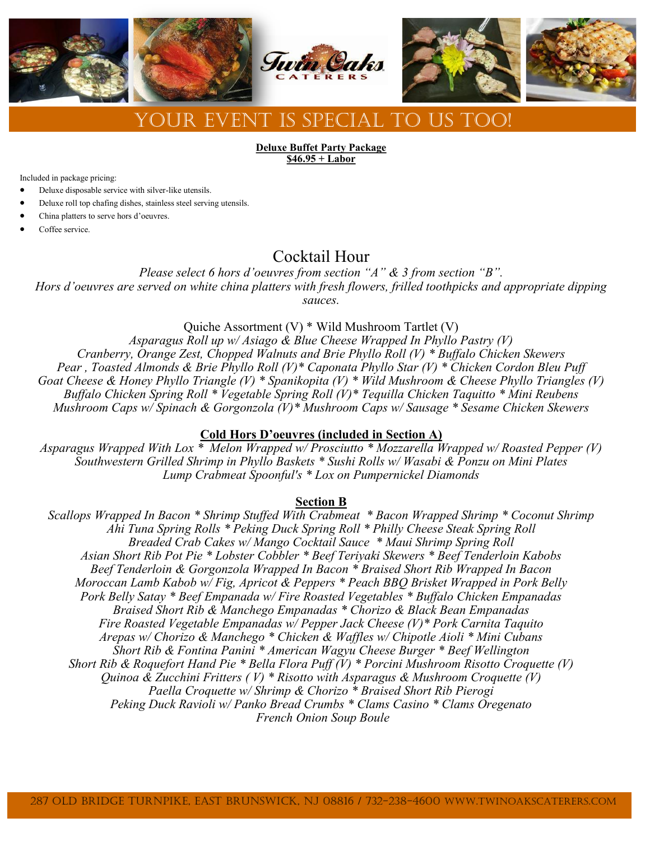

**Deluxe Buffet Party Package \$46.95 + Labor**

Included in package pricing:

- Deluxe disposable service with silver-like utensils.
- Deluxe roll top chafing dishes, stainless steel serving utensils.
- China platters to serve hors d'oeuvres.
- Coffee service.

# Cocktail Hour

*Please select 6 hors d'oeuvres from section "A" & 3 from section "B". Hors d'oeuvres are served on white china platters with fresh flowers, frilled toothpicks and appropriate dipping sauces.*

Quiche Assortment (V) \* Wild Mushroom Tartlet (V)

*Asparagus Roll up w/ Asiago & Blue Cheese Wrapped In Phyllo Pastry (V) Cranberry, Orange Zest, Chopped Walnuts and Brie Phyllo Roll (V) \* Buffalo Chicken Skewers Pear , Toasted Almonds & Brie Phyllo Roll (V)\* Caponata Phyllo Star (V) \* Chicken Cordon Bleu Puff Goat Cheese & Honey Phyllo Triangle (V) \* Spanikopita (V) \* Wild Mushroom & Cheese Phyllo Triangles (V) Buffalo Chicken Spring Roll \* Vegetable Spring Roll (V)\* Tequilla Chicken Taquitto \* Mini Reubens Mushroom Caps w/ Spinach & Gorgonzola (V)\* Mushroom Caps w/ Sausage \* Sesame Chicken Skewers*

# **Cold Hors D'oeuvres (included in Section A)**

*Asparagus Wrapped With Lox \* Melon Wrapped w/ Prosciutto \* Mozzarella Wrapped w/ Roasted Pepper (V) Southwestern Grilled Shrimp in Phyllo Baskets \* Sushi Rolls w/ Wasabi & Ponzu on Mini Plates Lump Crabmeat Spoonful's \* Lox on Pumpernickel Diamonds* 

# **Section B**

*Scallops Wrapped In Bacon \* Shrimp Stuffed With Crabmeat \* Bacon Wrapped Shrimp \* Coconut Shrimp Ahi Tuna Spring Rolls \* Peking Duck Spring Roll \* Philly Cheese Steak Spring Roll Breaded Crab Cakes w/ Mango Cocktail Sauce \* Maui Shrimp Spring Roll Asian Short Rib Pot Pie \* Lobster Cobbler \* Beef Teriyaki Skewers \* Beef Tenderloin Kabobs Beef Tenderloin & Gorgonzola Wrapped In Bacon \* Braised Short Rib Wrapped In Bacon Moroccan Lamb Kabob w/ Fig, Apricot & Peppers \* Peach BBQ Brisket Wrapped in Pork Belly Pork Belly Satay \* Beef Empanada w/ Fire Roasted Vegetables \* Buffalo Chicken Empanadas Braised Short Rib & Manchego Empanadas \* Chorizo & Black Bean Empanadas Fire Roasted Vegetable Empanadas w/ Pepper Jack Cheese (V)\* Pork Carnita Taquito Arepas w/ Chorizo & Manchego \* Chicken & Waffles w/ Chipotle Aioli \* Mini Cubans Short Rib & Fontina Panini \* American Wagyu Cheese Burger \* Beef Wellington Short Rib & Roquefort Hand Pie \* Bella Flora Puff (V) \* Porcini Mushroom Risotto Croquette (V) Quinoa & Zucchini Fritters ( V) \* Risotto with Asparagus & Mushroom Croquette (V) Paella Croquette w/ Shrimp & Chorizo \* Braised Short Rib Pierogi Peking Duck Ravioli w/ Panko Bread Crumbs \* Clams Casino \* Clams Oregenato French Onion Soup Boule*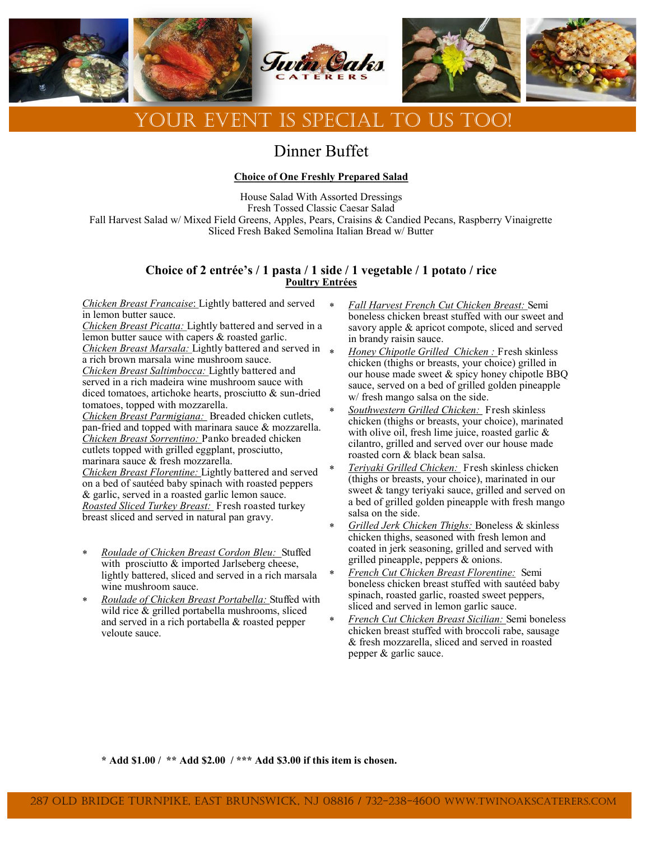

# Dinner Buffet

# **Choice of One Freshly Prepared Salad**

House Salad With Assorted Dressings Fresh Tossed Classic Caesar Salad Fall Harvest Salad w/ Mixed Field Greens, Apples, Pears, Craisins & Candied Pecans, Raspberry Vinaigrette Sliced Fresh Baked Semolina Italian Bread w/ Butter

# **Choice of 2 entrée's / 1 pasta / 1 side / 1 vegetable / 1 potato / rice Poultry Entrées**

*Chicken Breast Francaise*: Lightly battered and served in lemon butter sauce.

*Chicken Breast Picatta:* Lightly battered and served in a lemon butter sauce with capers & roasted garlic. *Chicken Breast Marsala:* Lightly battered and served in a rich brown marsala wine mushroom sauce. *Chicken Breast Saltimbocca:* Lightly battered and served in a rich madeira wine mushroom sauce with diced tomatoes, artichoke hearts, prosciutto & sun-dried tomatoes, topped with mozzarella. *Chicken Breast Parmigiana:* Breaded chicken cutlets,

pan-fried and topped with marinara sauce & mozzarella. *Chicken Breast Sorrentino:* Panko breaded chicken cutlets topped with grilled eggplant, prosciutto, marinara sauce & fresh mozzarella.

*Chicken Breast Florentine:* Lightly battered and served on a bed of sautéed baby spinach with roasted peppers & garlic, served in a roasted garlic lemon sauce. *Roasted Sliced Turkey Breast:* Fresh roasted turkey breast sliced and served in natural pan gravy.

- *Roulade of Chicken Breast Cordon Bleu:* Stuffed with prosciutto & imported Jarlseberg cheese, lightly battered, sliced and served in a rich marsala wine mushroom sauce.
- *Roulade of Chicken Breast Portabella:* Stuffed with wild rice & grilled portabella mushrooms, sliced and served in a rich portabella & roasted pepper veloute sauce.
- *Fall Harvest French Cut Chicken Breast:* Semi boneless chicken breast stuffed with our sweet and savory apple & apricot compote, sliced and served in brandy raisin sauce.
- *Honey Chipotle Grilled Chicken :* Fresh skinless chicken (thighs or breasts, your choice) grilled in our house made sweet & spicy honey chipotle BBQ sauce, served on a bed of grilled golden pineapple w/ fresh mango salsa on the side.
- *Southwestern Grilled Chicken:* Fresh skinless chicken (thighs or breasts, your choice), marinated with olive oil, fresh lime juice, roasted garlic & cilantro, grilled and served over our house made roasted corn & black bean salsa.
- *Teriyaki Grilled Chicken:* Fresh skinless chicken (thighs or breasts, your choice), marinated in our sweet & tangy teriyaki sauce, grilled and served on a bed of grilled golden pineapple with fresh mango salsa on the side.
- *Grilled Jerk Chicken Thighs:* Boneless & skinless chicken thighs, seasoned with fresh lemon and coated in jerk seasoning, grilled and served with grilled pineapple, peppers & onions.
- *French Cut Chicken Breast Florentine:* Semi boneless chicken breast stuffed with sautéed baby spinach, roasted garlic, roasted sweet peppers, sliced and served in lemon garlic sauce.
- *French Cut Chicken Breast Sicilian:* Semi boneless chicken breast stuffed with broccoli rabe, sausage & fresh mozzarella, sliced and served in roasted pepper & garlic sauce.

**\* Add \$1.00 / \*\* Add \$2.00 / \*\*\* Add \$3.00 if this item is chosen.**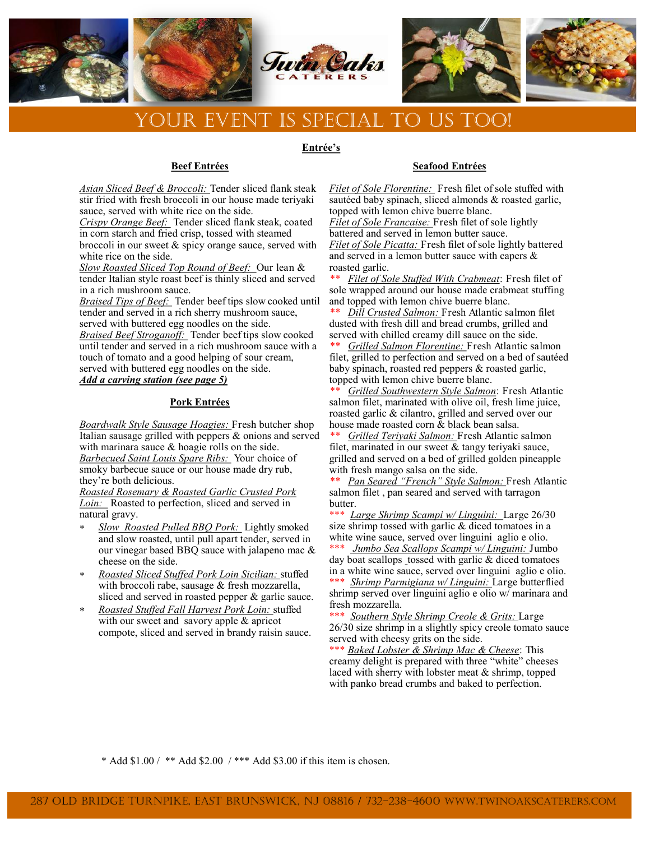

### **Entrée's**

# **Beef Entrées**

*Asian Sliced Beef & Broccoli:* Tender sliced flank steak stir fried with fresh broccoli in our house made teriyaki sauce, served with white rice on the side.

*Crispy Orange Beef:* Tender sliced flank steak, coated in corn starch and fried crisp, tossed with steamed broccoli in our sweet & spicy orange sauce, served with white rice on the side.

*Slow Roasted Sliced Top Round of Beef:* Our lean & tender Italian style roast beef is thinly sliced and served in a rich mushroom sauce.

*Braised Tips of Beef:* Tender beef tips slow cooked until tender and served in a rich sherry mushroom sauce, served with buttered egg noodles on the side. *Braised Beef Stroganoff:* Tender beef tips slow cooked until tender and served in a rich mushroom sauce with a touch of tomato and a good helping of sour cream, served with buttered egg noodles on the side.

*Add a carving station (see page 5)*

# **Pork Entrées**

*Boardwalk Style Sausage Hoagies:* Fresh butcher shop Italian sausage grilled with peppers & onions and served with marinara sauce & hoagie rolls on the side. *Barbecued Saint Louis Spare Ribs:* Your choice of smoky barbecue sauce or our house made dry rub, they're both delicious.

*Roasted Rosemary & Roasted Garlic Crusted Pork Loin:* Roasted to perfection, sliced and served in natural gravy.

- *Slow Roasted Pulled BBQ Pork:* Lightly smoked and slow roasted, until pull apart tender, served in our vinegar based BBQ sauce with jalapeno mac & cheese on the side.
- *Roasted Sliced Stuffed Pork Loin Sicilian:* stuffed with broccoli rabe, sausage & fresh mozzarella, sliced and served in roasted pepper & garlic sauce.
- *Roasted Stuffed Fall Harvest Pork Loin:* stuffed with our sweet and savory apple & apricot compote, sliced and served in brandy raisin sauce.

# **Seafood Entrées**

*Filet of Sole Florentine:* Fresh filet of sole stuffed with sautéed baby spinach, sliced almonds & roasted garlic, topped with lemon chive buerre blanc. *Filet of Sole Francaise:* Fresh filet of sole lightly battered and served in lemon butter sauce. *Filet of Sole Picatta:* Fresh filet of sole lightly battered and served in a lemon butter sauce with capers & roasted garlic.

*\*\* Filet of Sole Stuffed With Crabmeat*: Fresh filet of sole wrapped around our house made crabmeat stuffing and topped with lemon chive buerre blanc.

*\*\* Dill Crusted Salmon:* Fresh Atlantic salmon filet dusted with fresh dill and bread crumbs, grilled and served with chilled creamy dill sauce on the side.

*\*\* Grilled Salmon Florentine:* Fresh Atlantic salmon filet, grilled to perfection and served on a bed of sautéed baby spinach, roasted red peppers & roasted garlic, topped with lemon chive buerre blanc.

*Grilled Southwestern Style Salmon*: Fresh Atlantic salmon filet, marinated with olive oil, fresh lime juice, roasted garlic & cilantro, grilled and served over our house made roasted corn & black bean salsa.

*\*\* Grilled Teriyaki Salmon:* Fresh Atlantic salmon filet, marinated in our sweet & tangy teriyaki sauce, grilled and served on a bed of grilled golden pineapple with fresh mango salsa on the side.

*\*\* Pan Seared "French" Style Salmon:* Fresh Atlantic salmon filet , pan seared and served with tarragon butter.

\*\*\* *Large Shrimp Scampi w/ Linguini:* Large 26/30 size shrimp tossed with garlic & diced tomatoes in a white wine sauce, served over linguini aglio e olio.

\*\*\* *Jumbo Sea Scallops Scampi w/ Linguini:* Jumbo day boat scallops tossed with garlic  $&$  diced tomatoes in a white wine sauce, served over linguini aglio e olio. \*\*\* *Shrimp Parmigiana w/ Linguini:* Large butterflied

shrimp served over linguini aglio e olio w/ marinara and fresh mozzarella.

\*\*\* *Southern Style Shrimp Creole & Grits:* Large 26/30 size shrimp in a slightly spicy creole tomato sauce served with cheesy grits on the side.

\*\*\* *Baked Lobster & Shrimp Mac & Cheese*: This creamy delight is prepared with three "white" cheeses laced with sherry with lobster meat & shrimp, topped with panko bread crumbs and baked to perfection.

\* Add  $$1.00 / **$  Add  $$2.00 / ***$  Add  $$3.00$  if this item is chosen.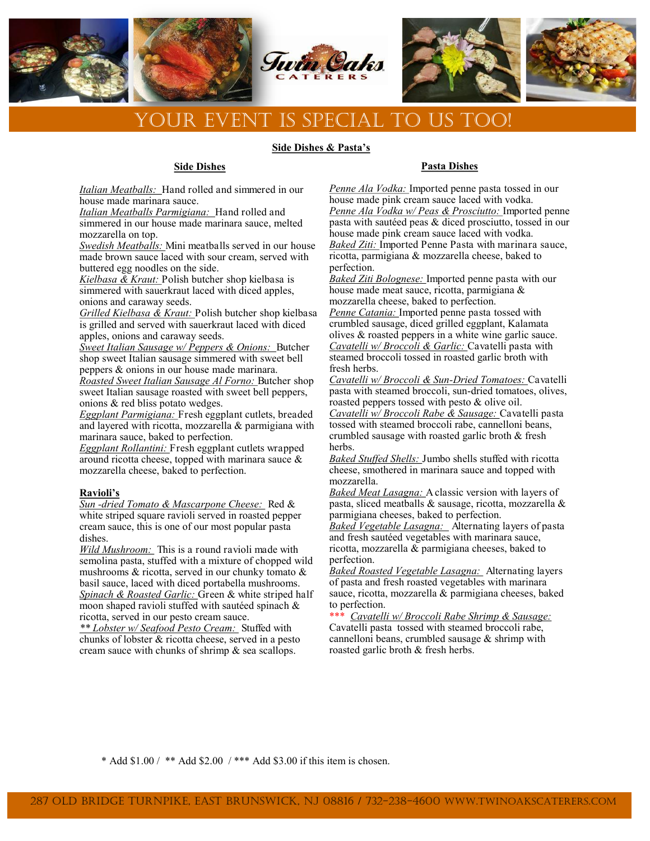

#### **Side Dishes & Pasta's**

### **Side Dishes**

*Italian Meatballs:* Hand rolled and simmered in our house made marinara sauce.

*Italian Meatballs Parmigiana:* Hand rolled and simmered in our house made marinara sauce, melted mozzarella on top.

*Swedish Meatballs:* Mini meatballs served in our house made brown sauce laced with sour cream, served with buttered egg noodles on the side.

*Kielbasa & Kraut:* Polish butcher shop kielbasa is simmered with sauerkraut laced with diced apples, onions and caraway seeds.

*Grilled Kielbasa & Kraut:* Polish butcher shop kielbasa is grilled and served with sauerkraut laced with diced apples, onions and caraway seeds.

*Sweet Italian Sausage w/ Peppers & Onions:* Butcher shop sweet Italian sausage simmered with sweet bell peppers & onions in our house made marinara.

*Roasted Sweet Italian Sausage Al Forno:* Butcher shop sweet Italian sausage roasted with sweet bell peppers, onions & red bliss potato wedges.

*Eggplant Parmigiana:* Fresh eggplant cutlets, breaded and layered with ricotta, mozzarella & parmigiana with marinara sauce, baked to perfection.

*Eggplant Rollantini:* Fresh eggplant cutlets wrapped around ricotta cheese, topped with marinara sauce & mozzarella cheese, baked to perfection.

#### **Ravioli's**

*Sun -dried Tomato & Mascarpone Cheese:* Red & white striped square ravioli served in roasted pepper cream sauce, this is one of our most popular pasta dishes.

*Wild Mushroom:* This is a round ravioli made with semolina pasta, stuffed with a mixture of chopped wild mushrooms & ricotta, served in our chunky tomato & basil sauce, laced with diced portabella mushrooms. *Spinach & Roasted Garlic:* Green & white striped half moon shaped ravioli stuffed with sautéed spinach & ricotta, served in our pesto cream sauce.

*\*\* Lobster w/ Seafood Pesto Cream:* Stuffed with chunks of lobster & ricotta cheese, served in a pesto cream sauce with chunks of shrimp & sea scallops.

# **Pasta Dishes**

*Penne Ala Vodka:* Imported penne pasta tossed in our house made pink cream sauce laced with vodka. *Penne Ala Vodka w/ Peas & Prosciutto:* Imported penne pasta with sautéed peas & diced prosciutto, tossed in our house made pink cream sauce laced with vodka. *Baked Ziti:* Imported Penne Pasta with marinara sauce, ricotta, parmigiana & mozzarella cheese, baked to perfection.

*Baked Ziti Bolognese:* Imported penne pasta with our house made meat sauce, ricotta, parmigiana & mozzarella cheese, baked to perfection.

*Penne Catania:* Imported penne pasta tossed with crumbled sausage, diced grilled eggplant, Kalamata olives & roasted peppers in a white wine garlic sauce. *Cavatelli w/ Broccoli & Garlic:* Cavatelli pasta with steamed broccoli tossed in roasted garlic broth with fresh herbs.

*Cavatelli w/ Broccoli & Sun-Dried Tomatoes:* Cavatelli pasta with steamed broccoli, sun-dried tomatoes, olives, roasted peppers tossed with pesto & olive oil.

*Cavatelli w/ Broccoli Rabe & Sausage:* Cavatelli pasta tossed with steamed broccoli rabe, cannelloni beans, crumbled sausage with roasted garlic broth & fresh herbs.

*Baked Stuffed Shells:* Jumbo shells stuffed with ricotta cheese, smothered in marinara sauce and topped with mozzarella.

*Baked Meat Lasagna:* A classic version with layers of pasta, sliced meatballs & sausage, ricotta, mozzarella & parmigiana cheeses, baked to perfection.

*Baked Vegetable Lasagna:* Alternating layers of pasta and fresh sautéed vegetables with marinara sauce, ricotta, mozzarella & parmigiana cheeses, baked to perfection.

*Baked Roasted Vegetable Lasagna:* Alternating layers of pasta and fresh roasted vegetables with marinara sauce, ricotta, mozzarella & parmigiana cheeses, baked to perfection.

\*\*\* *Cavatelli w/ Broccoli Rabe Shrimp & Sausage:*  Cavatelli pasta tossed with steamed broccoli rabe, cannelloni beans, crumbled sausage & shrimp with roasted garlic broth & fresh herbs.

\* Add  $$1.00 / **$  Add  $$2.00 / ***$  Add  $$3.00$  if this item is chosen.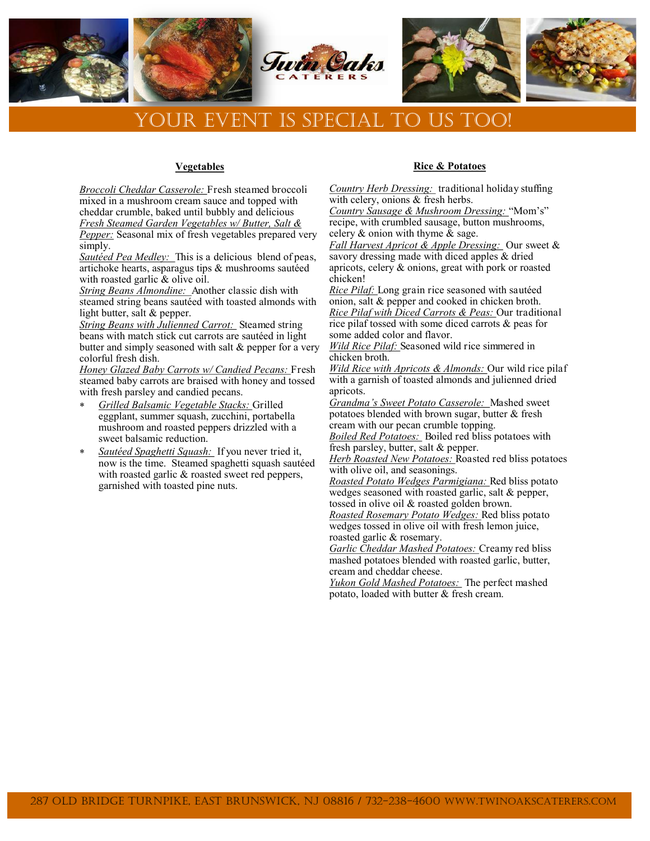

### **Vegetables**

*Broccoli Cheddar Casserole:* Fresh steamed broccoli mixed in a mushroom cream sauce and topped with cheddar crumble, baked until bubbly and delicious *Fresh Steamed Garden Vegetables w/ Butter, Salt & Pepper:* Seasonal mix of fresh vegetables prepared very simply.

*Sautéed Pea Medley:* This is a delicious blend of peas, artichoke hearts, asparagus tips & mushrooms sautéed with roasted garlic & olive oil.

*String Beans Almondine:* Another classic dish with steamed string beans sautéed with toasted almonds with light butter, salt & pepper.

*String Beans with Julienned Carrot:* Steamed string beans with match stick cut carrots are sautéed in light butter and simply seasoned with salt & pepper for a very colorful fresh dish.

*Honey Glazed Baby Carrots w/ Candied Pecans:* Fresh steamed baby carrots are braised with honey and tossed with fresh parsley and candied pecans.

- *Grilled Balsamic Vegetable Stacks:* Grilled eggplant, summer squash, zucchini, portabella mushroom and roasted peppers drizzled with a sweet balsamic reduction.
- *Sautéed Spaghetti Squash:* If you never tried it, now is the time. Steamed spaghetti squash sautéed with roasted garlic & roasted sweet red peppers, garnished with toasted pine nuts.

# **Rice & Potatoes**

*Country Herb Dressing:* traditional holiday stuffing with celery, onions & fresh herbs.

*Country Sausage & Mushroom Dressing:* "Mom's" recipe, with crumbled sausage, button mushrooms, celery & onion with thyme & sage.

*Fall Harvest Apricot & Apple Dressing:* Our sweet & savory dressing made with diced apples & dried apricots, celery & onions, great with pork or roasted chicken!

*Rice Pilaf:* Long grain rice seasoned with sautéed onion, salt & pepper and cooked in chicken broth. *Rice Pilaf with Diced Carrots & Peas:* Our traditional rice pilaf tossed with some diced carrots & peas for some added color and flavor.

*Wild Rice Pilaf:* Seasoned wild rice simmered in chicken broth.

*Wild Rice with Apricots & Almonds:* Our wild rice pilaf with a garnish of toasted almonds and julienned dried apricots.

*Grandma's Sweet Potato Casserole:* Mashed sweet potatoes blended with brown sugar, butter & fresh cream with our pecan crumble topping.

*Boiled Red Potatoes:* Boiled red bliss potatoes with fresh parsley, butter, salt & pepper.

*Herb Roasted New Potatoes:* Roasted red bliss potatoes with olive oil, and seasonings.

*Roasted Potato Wedges Parmigiana:* Red bliss potato wedges seasoned with roasted garlic, salt & pepper, tossed in olive oil & roasted golden brown.

*Roasted Rosemary Potato Wedges:* Red bliss potato wedges tossed in olive oil with fresh lemon juice, roasted garlic & rosemary.

*Garlic Cheddar Mashed Potatoes:* Creamy red bliss mashed potatoes blended with roasted garlic, butter, cream and cheddar cheese.

*Yukon Gold Mashed Potatoes:* The perfect mashed potato, loaded with butter & fresh cream.